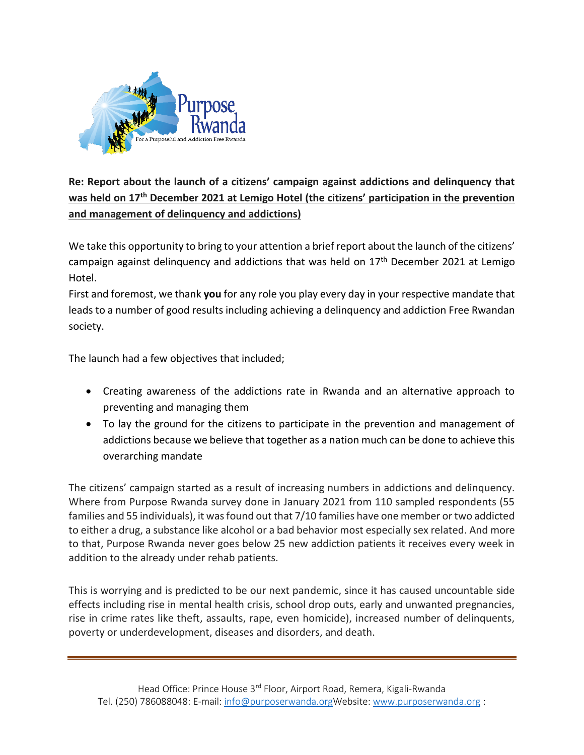

## **Re: Report about the launch of a citizens' campaign against addictions and delinquency that was held on 17th December 2021 at Lemigo Hotel (the citizens' participation in the prevention and management of delinquency and addictions)**

We take this opportunity to bring to your attention a brief report about the launch of the citizens' campaign against delinquency and addictions that was held on  $17<sup>th</sup>$  December 2021 at Lemigo Hotel.

First and foremost, we thank **you** for any role you play every day in your respective mandate that leads to a number of good results including achieving a delinquency and addiction Free Rwandan society.

The launch had a few objectives that included;

- Creating awareness of the addictions rate in Rwanda and an alternative approach to preventing and managing them
- To lay the ground for the citizens to participate in the prevention and management of addictions because we believe that together as a nation much can be done to achieve this overarching mandate

The citizens' campaign started as a result of increasing numbers in addictions and delinquency. Where from Purpose Rwanda survey done in January 2021 from 110 sampled respondents (55 families and 55 individuals), it was found out that 7/10 families have one member or two addicted to either a drug, a substance like alcohol or a bad behavior most especially sex related. And more to that, Purpose Rwanda never goes below 25 new addiction patients it receives every week in addition to the already under rehab patients.

This is worrying and is predicted to be our next pandemic, since it has caused uncountable side effects including rise in mental health crisis, school drop outs, early and unwanted pregnancies, rise in crime rates like theft, assaults, rape, even homicide), increased number of delinquents, poverty or underdevelopment, diseases and disorders, and death.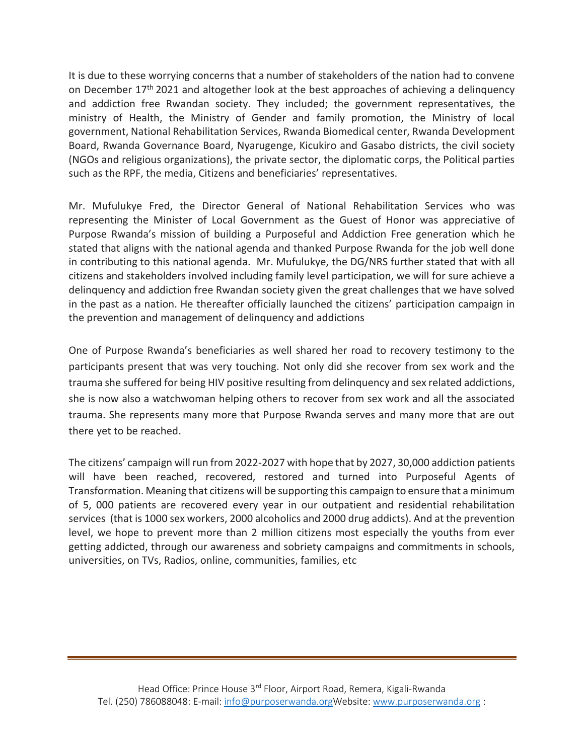It is due to these worrying concerns that a number of stakeholders of the nation had to convene on December 17<sup>th</sup> 2021 and altogether look at the best approaches of achieving a delinquency and addiction free Rwandan society. They included; the government representatives, the ministry of Health, the Ministry of Gender and family promotion, the Ministry of local government, National Rehabilitation Services, Rwanda Biomedical center, Rwanda Development Board, Rwanda Governance Board, Nyarugenge, Kicukiro and Gasabo districts, the civil society (NGOs and religious organizations), the private sector, the diplomatic corps, the Political parties such as the RPF, the media, Citizens and beneficiaries' representatives.

Mr. Mufulukye Fred, the Director General of National Rehabilitation Services who was representing the Minister of Local Government as the Guest of Honor was appreciative of Purpose Rwanda's mission of building a Purposeful and Addiction Free generation which he stated that aligns with the national agenda and thanked Purpose Rwanda for the job well done in contributing to this national agenda. Mr. Mufulukye, the DG/NRS further stated that with all citizens and stakeholders involved including family level participation, we will for sure achieve a delinquency and addiction free Rwandan society given the great challenges that we have solved in the past as a nation. He thereafter officially launched the citizens' participation campaign in the prevention and management of delinquency and addictions

One of Purpose Rwanda's beneficiaries as well shared her road to recovery testimony to the participants present that was very touching. Not only did she recover from sex work and the trauma she suffered for being HIV positive resulting from delinquency and sex related addictions, she is now also a watchwoman helping others to recover from sex work and all the associated trauma. She represents many more that Purpose Rwanda serves and many more that are out there yet to be reached.

The citizens' campaign will run from 2022-2027 with hope that by 2027, 30,000 addiction patients will have been reached, recovered, restored and turned into Purposeful Agents of Transformation. Meaning that citizens will be supporting this campaign to ensure that a minimum of 5, 000 patients are recovered every year in our outpatient and residential rehabilitation services (that is 1000 sex workers, 2000 alcoholics and 2000 drug addicts). And at the prevention level, we hope to prevent more than 2 million citizens most especially the youths from ever getting addicted, through our awareness and sobriety campaigns and commitments in schools, universities, on TVs, Radios, online, communities, families, etc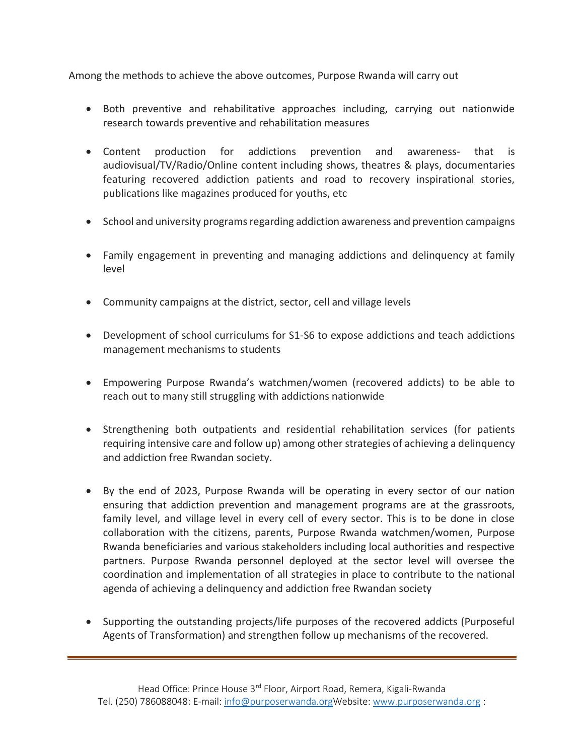Among the methods to achieve the above outcomes, Purpose Rwanda will carry out

- Both preventive and rehabilitative approaches including, carrying out nationwide research towards preventive and rehabilitation measures
- Content production for addictions prevention and awareness- that is audiovisual/TV/Radio/Online content including shows, theatres & plays, documentaries featuring recovered addiction patients and road to recovery inspirational stories, publications like magazines produced for youths, etc
- School and university programs regarding addiction awareness and prevention campaigns
- Family engagement in preventing and managing addictions and delinquency at family level
- Community campaigns at the district, sector, cell and village levels
- Development of school curriculums for S1-S6 to expose addictions and teach addictions management mechanisms to students
- Empowering Purpose Rwanda's watchmen/women (recovered addicts) to be able to reach out to many still struggling with addictions nationwide
- Strengthening both outpatients and residential rehabilitation services (for patients requiring intensive care and follow up) among other strategies of achieving a delinquency and addiction free Rwandan society.
- By the end of 2023, Purpose Rwanda will be operating in every sector of our nation ensuring that addiction prevention and management programs are at the grassroots, family level, and village level in every cell of every sector. This is to be done in close collaboration with the citizens, parents, Purpose Rwanda watchmen/women, Purpose Rwanda beneficiaries and various stakeholders including local authorities and respective partners. Purpose Rwanda personnel deployed at the sector level will oversee the coordination and implementation of all strategies in place to contribute to the national agenda of achieving a delinquency and addiction free Rwandan society
- Supporting the outstanding projects/life purposes of the recovered addicts (Purposeful Agents of Transformation) and strengthen follow up mechanisms of the recovered.